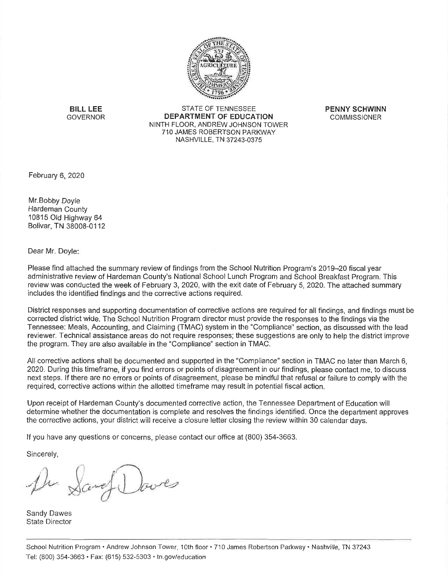

**BILL LEE GOVERNOR** 

**STATE OF TENNESSEE** DEPARTMENT OF EDUCATION NINTH FLOOR, ANDREW JOHNSON TOWER 710 JAMES ROBERTSON PARKWAY NASHVILLE, TN 37243-0375

**PENNY SCHWINN COMMISSIONER** 

February 6, 2020

Mr. Bobby Doyle Hardeman County 10815 Old Highway 64 Bolivar, TN 38008-0112

Dear Mr. Doyle:

Please find attached the summary review of findings from the School Nutrition Program's 2019-20 fiscal year administrative review of Hardeman County's National School Lunch Program and School Breakfast Program. This review was conducted the week of February 3, 2020, with the exit date of February 5, 2020. The attached summary includes the identified findings and the corrective actions required.

District responses and supporting documentation of corrective actions are required for all findings, and findings must be corrected district wide. The School Nutrition Program director must provide the responses to the findings via the Tennessee: Meals, Accounting, and Claiming (TMAC) system in the "Compliance" section, as discussed with the lead reviewer. Technical assistance areas do not require responses; these suggestions are only to help the district improve the program. They are also available in the "Compliance" section in TMAC.

All corrective actions shall be documented and supported in the "Compliance" section in TMAC no later than March 6, 2020. During this timeframe, if you find errors or points of disagreement in our findings, please contact me, to discuss next steps. If there are no errors or points of disagreement, please be mindful that refusal or failure to comply with the required, corrective actions within the allotted timeframe may result in potential fiscal action.

Upon receipt of Hardeman County's documented corrective action, the Tennessee Department of Education will determine whether the documentation is complete and resolves the findings identified. Once the department approves the corrective actions, your district will receive a closure letter closing the review within 30 calendar days.

If you have any questions or concerns, please contact our office at (800) 354-3663.

Sincerely,

De Sand Doves

Sandy Dawes **State Director**